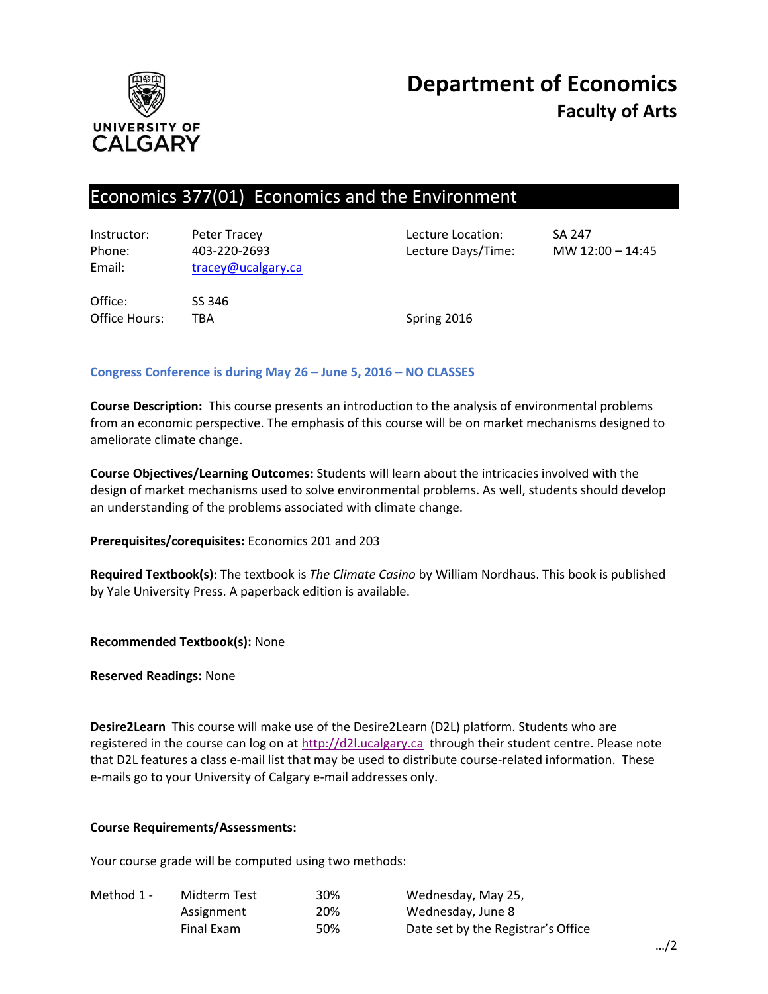

# **Department of Economics Faculty of Arts**

# Economics 377(01) Economics and the Environment

| Instructor:<br>Phone:<br>Email: | Peter Tracey<br>403-220-2693<br>tracey@ucalgary.ca | Lecture Location:<br>Lecture Days/Time: | <b>SA 247</b><br>MW $12:00 - 14:45$ |
|---------------------------------|----------------------------------------------------|-----------------------------------------|-------------------------------------|
| Office:<br>Office Hours:        | SS 346<br>TBA                                      | Spring 2016                             |                                     |

### **Congress Conference is during May 26 – June 5, 2016 – NO CLASSES**

**Course Description:** This course presents an introduction to the analysis of environmental problems from an economic perspective. The emphasis of this course will be on market mechanisms designed to ameliorate climate change.

**Course Objectives/Learning Outcomes:** Students will learn about the intricacies involved with the design of market mechanisms used to solve environmental problems. As well, students should develop an understanding of the problems associated with climate change.

**Prerequisites/corequisites:** Economics 201 and 203

**Required Textbook(s):** The textbook is *The Climate Casino* by William Nordhaus. This book is published by Yale University Press. A paperback edition is available.

**Recommended Textbook(s):** None

**Reserved Readings:** None

**Desire2Learn** This course will make use of the Desire2Learn (D2L) platform. Students who are registered in the course can log on at [http://d2l.ucalgary.ca](http://d2l.ucalgary.ca/) through their student centre. Please note that D2L features a class e-mail list that may be used to distribute course-related information. These e-mails go to your University of Calgary e-mail addresses only.

#### **Course Requirements/Assessments:**

Your course grade will be computed using two methods:

| Method 1 - | Midterm Test | 30% | Wednesday, May 25,                 |
|------------|--------------|-----|------------------------------------|
|            | Assignment   | 20% | Wednesday, June 8                  |
|            | Final Exam   | 50% | Date set by the Registrar's Office |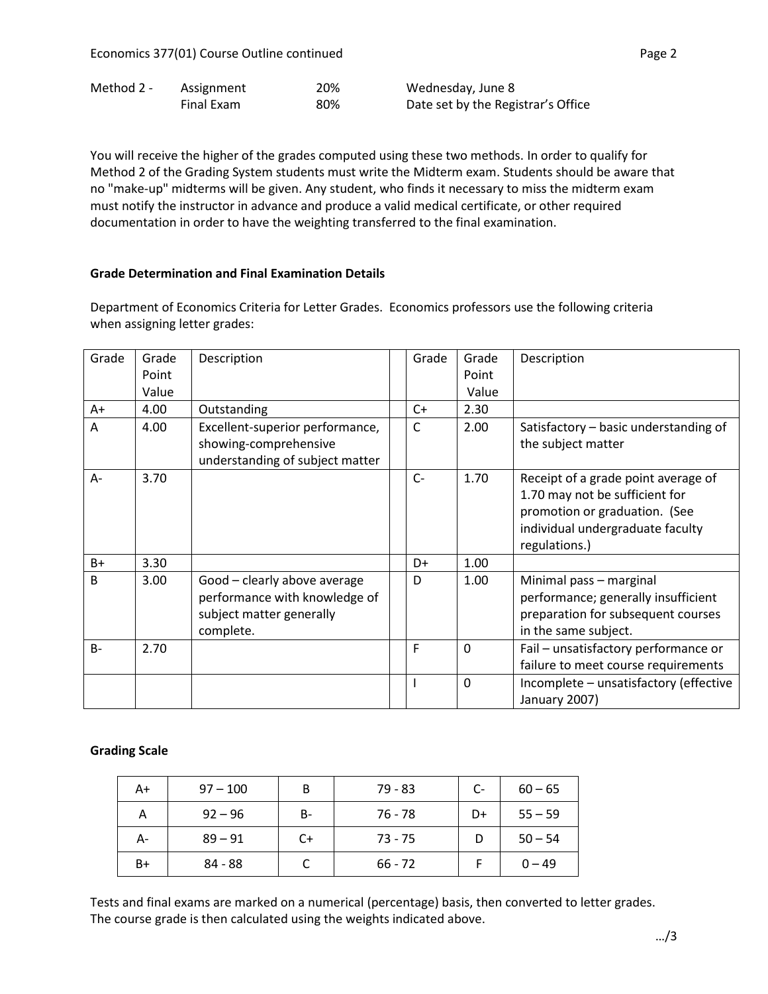| Method 2 - | Assignment | 20% | Wednesday, June 8                  |
|------------|------------|-----|------------------------------------|
|            | Final Exam | 80% | Date set by the Registrar's Office |

You will receive the higher of the grades computed using these two methods. In order to qualify for Method 2 of the Grading System students must write the Midterm exam. Students should be aware that no "make-up" midterms will be given. Any student, who finds it necessary to miss the midterm exam must notify the instructor in advance and produce a valid medical certificate, or other required documentation in order to have the weighting transferred to the final examination.

#### **Grade Determination and Final Examination Details**

Department of Economics Criteria for Letter Grades. Economics professors use the following criteria when assigning letter grades:

| Grade          | Grade | Description                                                                                            | Grade | Grade        | Description                                                                                                                                                 |
|----------------|-------|--------------------------------------------------------------------------------------------------------|-------|--------------|-------------------------------------------------------------------------------------------------------------------------------------------------------------|
|                | Point |                                                                                                        |       | Point        |                                                                                                                                                             |
|                | Value |                                                                                                        |       | Value        |                                                                                                                                                             |
| $A+$           | 4.00  | Outstanding                                                                                            | $C+$  | 2.30         |                                                                                                                                                             |
| $\overline{A}$ | 4.00  | Excellent-superior performance,<br>showing-comprehensive<br>understanding of subject matter            | C     | 2.00         | Satisfactory - basic understanding of<br>the subject matter                                                                                                 |
| A-             | 3.70  |                                                                                                        | $C-$  | 1.70         | Receipt of a grade point average of<br>1.70 may not be sufficient for<br>promotion or graduation. (See<br>individual undergraduate faculty<br>regulations.) |
| $B+$           | 3.30  |                                                                                                        | D+    | 1.00         |                                                                                                                                                             |
| B.             | 3.00  | Good - clearly above average<br>performance with knowledge of<br>subject matter generally<br>complete. | D     | 1.00         | Minimal pass - marginal<br>performance; generally insufficient<br>preparation for subsequent courses<br>in the same subject.                                |
| $B -$          | 2.70  |                                                                                                        | F     | $\mathbf 0$  | Fail - unsatisfactory performance or<br>failure to meet course requirements                                                                                 |
|                |       |                                                                                                        |       | $\mathbf{0}$ | Incomplete - unsatisfactory (effective<br>January 2007)                                                                                                     |

#### **Grading Scale**

| A+ | $97 - 100$ | B         | $79 - 83$ | $C-$ | $60 - 65$ |
|----|------------|-----------|-----------|------|-----------|
| Α  | $92 - 96$  | <b>B-</b> | 76 - 78   | D+   | $55 - 59$ |
| А- | $89 - 91$  | C+        | $73 - 75$ |      | $50 - 54$ |
| B+ | 84 - 88    |           | $66 - 72$ |      | $0 - 49$  |

Tests and final exams are marked on a numerical (percentage) basis, then converted to letter grades. The course grade is then calculated using the weights indicated above.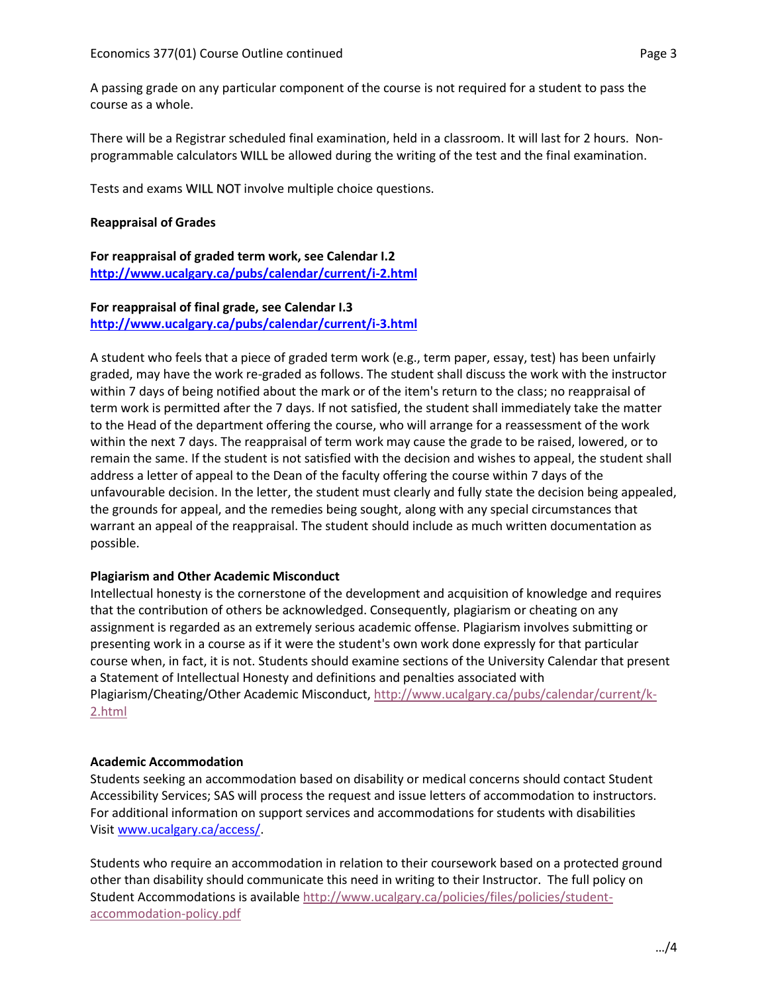A passing grade on any particular component of the course is not required for a student to pass the course as a whole.

There will be a Registrar scheduled final examination, held in a classroom. It will last for 2 hours. Nonprogrammable calculators WILL be allowed during the writing of the test and the final examination.

Tests and exams WILL NOT involve multiple choice questions.

#### **Reappraisal of Grades**

**For reappraisal of graded term work, see Calendar I.2 <http://www.ucalgary.ca/pubs/calendar/current/i-2.html>**

#### **For reappraisal of final grade, see Calendar I.3 <http://www.ucalgary.ca/pubs/calendar/current/i-3.html>**

A student who feels that a piece of graded term work (e.g., term paper, essay, test) has been unfairly graded, may have the work re-graded as follows. The student shall discuss the work with the instructor within 7 days of being notified about the mark or of the item's return to the class; no reappraisal of term work is permitted after the 7 days. If not satisfied, the student shall immediately take the matter to the Head of the department offering the course, who will arrange for a reassessment of the work within the next 7 days. The reappraisal of term work may cause the grade to be raised, lowered, or to remain the same. If the student is not satisfied with the decision and wishes to appeal, the student shall address a letter of appeal to the Dean of the faculty offering the course within 7 days of the unfavourable decision. In the letter, the student must clearly and fully state the decision being appealed, the grounds for appeal, and the remedies being sought, along with any special circumstances that warrant an appeal of the reappraisal. The student should include as much written documentation as possible.

#### **Plagiarism and Other Academic Misconduct**

Intellectual honesty is the cornerstone of the development and acquisition of knowledge and requires that the contribution of others be acknowledged. Consequently, plagiarism or cheating on any assignment is regarded as an extremely serious academic offense. Plagiarism involves submitting or presenting work in a course as if it were the student's own work done expressly for that particular course when, in fact, it is not. Students should examine sections of the University Calendar that present a Statement of Intellectual Honesty and definitions and penalties associated with Plagiarism/Cheating/Other Academic Misconduct, [http://www.ucalgary.ca/pubs/calendar/current/k-](http://www.ucalgary.ca/pubs/calendar/current/k-2.html)[2.html](http://www.ucalgary.ca/pubs/calendar/current/k-2.html)

#### **Academic Accommodation**

Students seeking an accommodation based on disability or medical concerns should contact Student Accessibility Services; SAS will process the request and issue letters of accommodation to instructors. For additional information on support services and accommodations for students with disabilities Visit [www.ucalgary.ca/access/.](http://www.ucalgary.ca/access/)

Students who require an accommodation in relation to their coursework based on a protected ground other than disability should communicate this need in writing to their Instructor. The full policy on Student Accommodations is availabl[e http://www.ucalgary.ca/policies/files/policies/student](http://www.ucalgary.ca/policies/files/policies/student-accommodation-policy.pdf)[accommodation-policy.pdf](http://www.ucalgary.ca/policies/files/policies/student-accommodation-policy.pdf)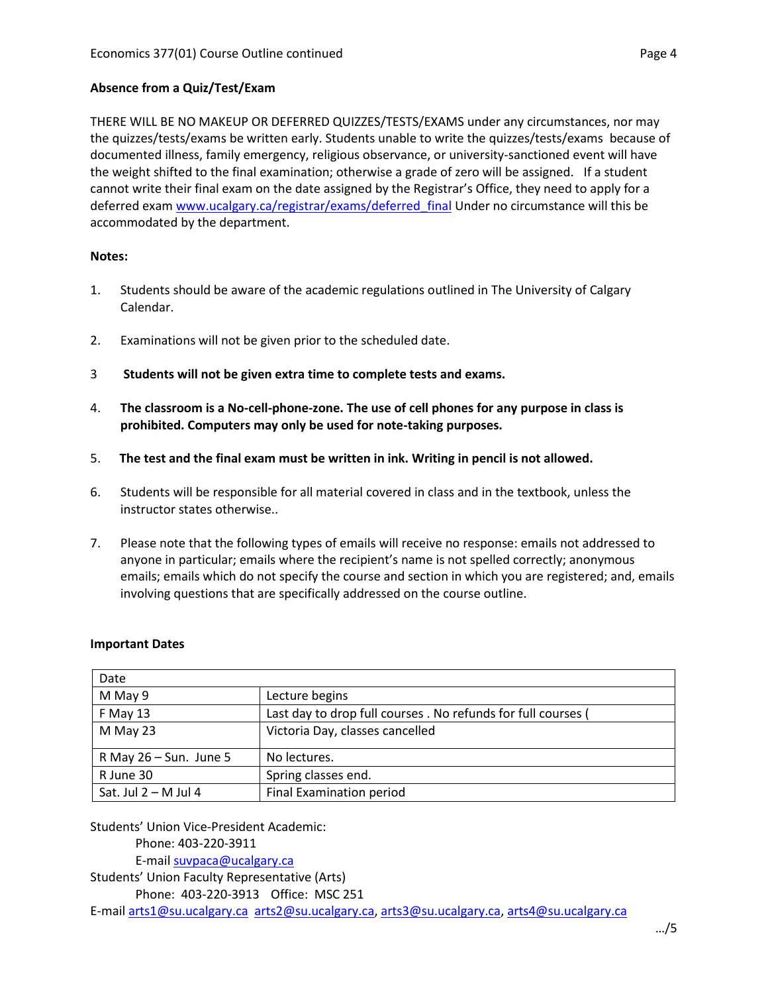## **Absence from a Quiz/Test/Exam**

THERE WILL BE NO MAKEUP OR DEFERRED QUIZZES/TESTS/EXAMS under any circumstances, nor may the quizzes/tests/exams be written early. Students unable to write the quizzes/tests/exams because of documented illness, family emergency, religious observance, or university-sanctioned event will have the weight shifted to the final examination; otherwise a grade of zero will be assigned. If a student cannot write their final exam on the date assigned by the Registrar's Office, they need to apply for a deferred exam [www.ucalgary.ca/registrar/exams/deferred\\_final](http://www.ucalgary.ca/registrar/exams/deferred_final) Under no circumstance will this be accommodated by the department.

#### **Notes:**

- 1. Students should be aware of the academic regulations outlined in The University of Calgary Calendar.
- 2. Examinations will not be given prior to the scheduled date.
- 3 **Students will not be given extra time to complete tests and exams.**
- 4. **The classroom is a No-cell-phone-zone. The use of cell phones for any purpose in class is prohibited. Computers may only be used for note-taking purposes.**
- 5. **The test and the final exam must be written in ink. Writing in pencil is not allowed.**
- 6. Students will be responsible for all material covered in class and in the textbook, unless the instructor states otherwise..
- 7. Please note that the following types of emails will receive no response: emails not addressed to anyone in particular; emails where the recipient's name is not spelled correctly; anonymous emails; emails which do not specify the course and section in which you are registered; and, emails involving questions that are specifically addressed on the course outline.

| Date                      |                                                               |
|---------------------------|---------------------------------------------------------------|
| M May 9                   | Lecture begins                                                |
| F May 13                  | Last day to drop full courses . No refunds for full courses ( |
| M May 23                  | Victoria Day, classes cancelled                               |
| R May $26 - Sun$ . June 5 | No lectures.                                                  |
| R June 30                 | Spring classes end.                                           |
| Sat. Jul $2 - M$ Jul 4    | Final Examination period                                      |

#### **Important Dates**

Students' Union Vice-President Academic:

Phone: 403-220-3911 E-mai[l suvpaca@ucalgary.ca](mailto:subpaca@ucalgary.ca)

Students' Union Faculty Representative (Arts) Phone: 403-220-3913 Office: MSC 251 E-mai[l arts1@su.ucalgary.ca](mailto:arts1@su.ucalgary.ca) [arts2@su.ucalgary.ca,](mailto:arts2@su.ucalgary.ca) [arts3@su.ucalgary.ca,](mailto:arts3@su.ucalgary.ca) [arts4@su.ucalgary.ca](mailto:arts4@su.ucalgary.ca)